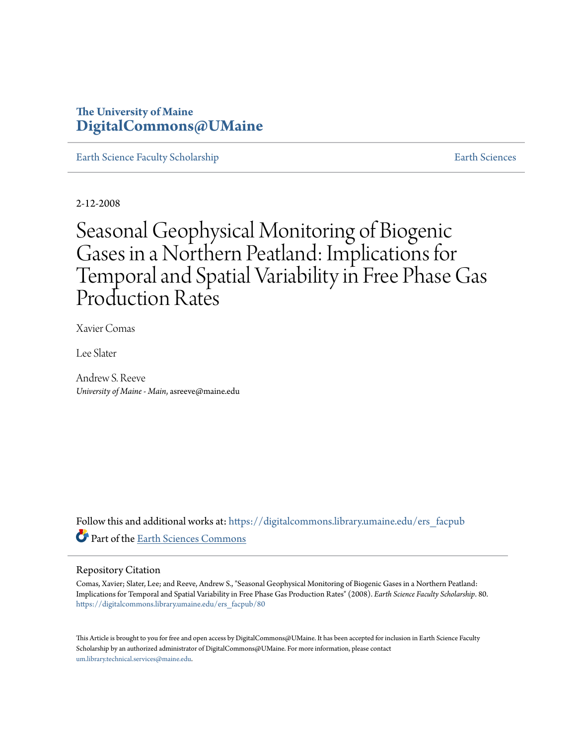# **The University of Maine [DigitalCommons@UMaine](https://digitalcommons.library.umaine.edu?utm_source=digitalcommons.library.umaine.edu%2Fers_facpub%2F80&utm_medium=PDF&utm_campaign=PDFCoverPages)**

[Earth Science Faculty Scholarship](https://digitalcommons.library.umaine.edu/ers_facpub?utm_source=digitalcommons.library.umaine.edu%2Fers_facpub%2F80&utm_medium=PDF&utm_campaign=PDFCoverPages) **[Earth Sciences](https://digitalcommons.library.umaine.edu/ers?utm_source=digitalcommons.library.umaine.edu%2Fers_facpub%2F80&utm_medium=PDF&utm_campaign=PDFCoverPages)** 

2-12-2008

# Seasonal Geophysical Monitoring of Biogenic Gases in a Northern Peatland: Implications for Temporal and Spatial Variability in Free Phase Gas Production Rates

Xavier Comas

Lee Slater

Andrew S. Reeve *University of Maine - Main*, asreeve@maine.edu

Follow this and additional works at: [https://digitalcommons.library.umaine.edu/ers\\_facpub](https://digitalcommons.library.umaine.edu/ers_facpub?utm_source=digitalcommons.library.umaine.edu%2Fers_facpub%2F80&utm_medium=PDF&utm_campaign=PDFCoverPages) Part of the [Earth Sciences Commons](http://network.bepress.com/hgg/discipline/153?utm_source=digitalcommons.library.umaine.edu%2Fers_facpub%2F80&utm_medium=PDF&utm_campaign=PDFCoverPages)

#### Repository Citation

Comas, Xavier; Slater, Lee; and Reeve, Andrew S., "Seasonal Geophysical Monitoring of Biogenic Gases in a Northern Peatland: Implications for Temporal and Spatial Variability in Free Phase Gas Production Rates" (2008). *Earth Science Faculty Scholarship*. 80. [https://digitalcommons.library.umaine.edu/ers\\_facpub/80](https://digitalcommons.library.umaine.edu/ers_facpub/80?utm_source=digitalcommons.library.umaine.edu%2Fers_facpub%2F80&utm_medium=PDF&utm_campaign=PDFCoverPages)

This Article is brought to you for free and open access by DigitalCommons@UMaine. It has been accepted for inclusion in Earth Science Faculty Scholarship by an authorized administrator of DigitalCommons@UMaine. For more information, please contact [um.library.technical.services@maine.edu](mailto:um.library.technical.services@maine.edu).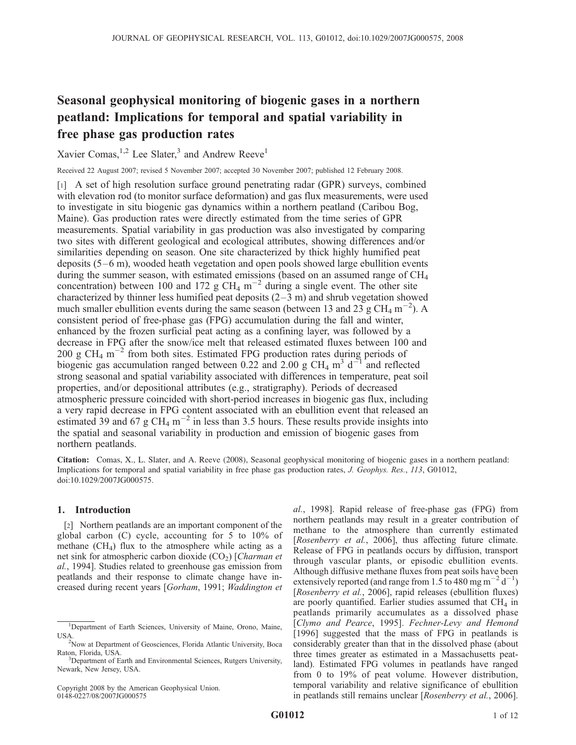# Seasonal geophysical monitoring of biogenic gases in a northern peatland: Implications for temporal and spatial variability in free phase gas production rates

Xavier Comas, $^{1,2}$  Lee Slater,<sup>3</sup> and Andrew Reeve<sup>1</sup>

Received 22 August 2007; revised 5 November 2007; accepted 30 November 2007; published 12 February 2008.

[1] A set of high resolution surface ground penetrating radar (GPR) surveys, combined with elevation rod (to monitor surface deformation) and gas flux measurements, were used to investigate in situ biogenic gas dynamics within a northern peatland (Caribou Bog, Maine). Gas production rates were directly estimated from the time series of GPR measurements. Spatial variability in gas production was also investigated by comparing two sites with different geological and ecological attributes, showing differences and/or similarities depending on season. One site characterized by thick highly humified peat deposits (5–6 m), wooded heath vegetation and open pools showed large ebullition events during the summer season, with estimated emissions (based on an assumed range of  $CH<sub>4</sub>$ concentration) between 100 and 172 g CH<sub>4</sub> m<sup>-2</sup> during a single event. The other site characterized by thinner less humified peat deposits  $(2-\overline{3} \text{ m})$  and shrub vegetation showed much smaller ebullition events during the same season (between 13 and 23 g CH<sub>4</sub> m<sup>-2</sup>). A consistent period of free-phase gas (FPG) accumulation during the fall and winter, enhanced by the frozen surficial peat acting as a confining layer, was followed by a decrease in FPG after the snow/ice melt that released estimated fluxes between 100 and 200 g CH<sub>4</sub> m<sup> $-2$ </sup> from both sites. Estimated FPG production rates during periods of biogenic gas accumulation ranged between 0.22 and 2.00 g CH<sub>4</sub> m<sup>3</sup> d<sup>-1</sup> and reflected strong seasonal and spatial variability associated with differences in temperature, peat soil properties, and/or depositional attributes (e.g., stratigraphy). Periods of decreased atmospheric pressure coincided with short-period increases in biogenic gas flux, including a very rapid decrease in FPG content associated with an ebullition event that released an estimated 39 and 67 g CH<sub>4</sub> m<sup>-2</sup> in less than 3.5 hours. These results provide insights into the spatial and seasonal variability in production and emission of biogenic gases from northern peatlands.

Citation: Comas, X., L. Slater, and A. Reeve (2008), Seasonal geophysical monitoring of biogenic gases in a northern peatland: Implications for temporal and spatial variability in free phase gas production rates, J. Geophys. Res., 113, G01012, doi:10.1029/2007JG000575.

# 1. Introduction

[2] Northern peatlands are an important component of the global carbon (C) cycle, accounting for 5 to 10% of methane  $(CH_4)$  flux to the atmosphere while acting as a net sink for atmospheric carbon dioxide  $(CO<sub>2</sub>)$  [*Charman et* al., 1994]. Studies related to greenhouse gas emission from peatlands and their response to climate change have increased during recent years [Gorham, 1991; Waddington et

al., 1998]. Rapid release of free-phase gas (FPG) from northern peatlands may result in a greater contribution of methane to the atmosphere than currently estimated [Rosenberry et al., 2006], thus affecting future climate. Release of FPG in peatlands occurs by diffusion, transport through vascular plants, or episodic ebullition events. Although diffusive methane fluxes from peat soils have been extensively reported (and range from 1.5 to 480 mg m<sup>-2</sup> d<sup>-1</sup>) [Rosenberry et al., 2006], rapid releases (ebullition fluxes) are poorly quantified. Earlier studies assumed that  $CH<sub>4</sub>$  in peatlands primarily accumulates as a dissolved phase [Clymo and Pearce, 1995]. Fechner-Levy and Hemond [1996] suggested that the mass of FPG in peatlands is considerably greater than that in the dissolved phase (about three times greater as estimated in a Massachusetts peatland). Estimated FPG volumes in peatlands have ranged from 0 to 19% of peat volume. However distribution, temporal variability and relative significance of ebullition in peatlands still remains unclear [Rosenberry et al., 2006].

<sup>&</sup>lt;sup>1</sup>Department of Earth Sciences, University of Maine, Orono, Maine, USA.

<sup>&</sup>lt;sup>2</sup>Now at Department of Geosciences, Florida Atlantic University, Boca Raton, Florida, USA. <sup>3</sup>

<sup>&</sup>lt;sup>3</sup>Department of Earth and Environmental Sciences, Rutgers University, Newark, New Jersey, USA.

Copyright 2008 by the American Geophysical Union. 0148-0227/08/2007JG000575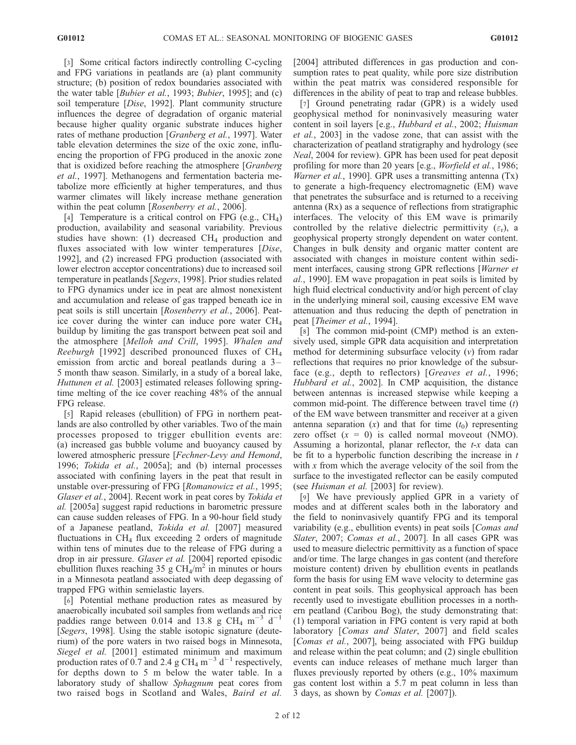[3] Some critical factors indirectly controlling C-cycling and FPG variations in peatlands are (a) plant community structure; (b) position of redox boundaries associated with the water table [*Bubier et al.*, 1993; *Bubier*, 1995]; and (c) soil temperature [Dise, 1992]. Plant community structure influences the degree of degradation of organic material because higher quality organic substrate induces higher rates of methane production [Granberg et al., 1997]. Water table elevation determines the size of the oxic zone, influencing the proportion of FPG produced in the anoxic zone that is oxidized before reaching the atmosphere [Granberg et al., 1997]. Methanogens and fermentation bacteria metabolize more efficiently at higher temperatures, and thus warmer climates will likely increase methane generation within the peat column [Rosenberry et al., 2006].

[4] Temperature is a critical control on FPG (e.g.,  $CH<sub>4</sub>$ ) production, availability and seasonal variability. Previous studies have shown:  $(1)$  decreased  $CH<sub>4</sub>$  production and fluxes associated with low winter temperatures [Dise, 1992], and (2) increased FPG production (associated with lower electron acceptor concentrations) due to increased soil temperature in peatlands [Segers, 1998]. Prior studies related to FPG dynamics under ice in peat are almost nonexistent and accumulation and release of gas trapped beneath ice in peat soils is still uncertain [Rosenberry et al., 2006]. Peatice cover during the winter can induce pore water CH4 buildup by limiting the gas transport between peat soil and the atmosphere [Melloh and Crill, 1995]. Whalen and *Reeburgh* [1992] described pronounced fluxes of  $CH<sub>4</sub>$ emission from arctic and boreal peatlands during a 3-5 month thaw season. Similarly, in a study of a boreal lake, Huttunen et al. [2003] estimated releases following springtime melting of the ice cover reaching 48% of the annual FPG release.

[5] Rapid releases (ebullition) of FPG in northern peatlands are also controlled by other variables. Two of the main processes proposed to trigger ebullition events are: (a) increased gas bubble volume and buoyancy caused by lowered atmospheric pressure [Fechner-Levy and Hemond, 1996; Tokida et al., 2005a]; and (b) internal processes associated with confining layers in the peat that result in unstable over-pressuring of FPG [Romanowicz et al., 1995; Glaser et al., 2004]. Recent work in peat cores by Tokida et al. [2005a] suggest rapid reductions in barometric pressure can cause sudden releases of FPG. In a 90-hour field study of a Japanese peatland, Tokida et al. [2007] measured fluctuations in  $CH_4$  flux exceeding 2 orders of magnitude within tens of minutes due to the release of FPG during a drop in air pressure. Glaser et al. [2004] reported episodic ebullition fluxes reaching 35 g  $CH<sub>4</sub>/m<sup>2</sup>$  in minutes or hours in a Minnesota peatland associated with deep degassing of trapped FPG within semielastic layers.

[6] Potential methane production rates as measured by anaerobically incubated soil samples from wetlands and rice paddies range between 0.014 and 13.8 g CH<sub>4</sub> m<sup>-3</sup> d<sup>-1</sup> [Segers, 1998]. Using the stable isotopic signature (deuterium) of the pore waters in two raised bogs in Minnesota, Siegel et al. [2001] estimated minimum and maximum production rates of 0.7 and 2.4 g CH<sub>4</sub> m<sup>-3</sup> d<sup>-1</sup> respectively, for depths down to 5 m below the water table. In a laboratory study of shallow Sphagnum peat cores from two raised bogs in Scotland and Wales, Baird et al. [2004] attributed differences in gas production and consumption rates to peat quality, while pore size distribution within the peat matrix was considered responsible for differences in the ability of peat to trap and release bubbles.

[7] Ground penetrating radar (GPR) is a widely used geophysical method for noninvasively measuring water content in soil layers [e.g., Hubbard et al., 2002; Huisman et al., 2003] in the vadose zone, that can assist with the characterization of peatland stratigraphy and hydrology (see Neal, 2004 for review). GPR has been used for peat deposit profiling for more than 20 years [e.g., Worfield et al., 1986; Warner et al., 1990]. GPR uses a transmitting antenna (Tx) to generate a high-frequency electromagnetic (EM) wave that penetrates the subsurface and is returned to a receiving antenna (Rx) as a sequence of reflections from stratigraphic interfaces. The velocity of this EM wave is primarily controlled by the relative dielectric permittivity  $(\varepsilon_r)$ , a geophysical property strongly dependent on water content. Changes in bulk density and organic matter content are associated with changes in moisture content within sediment interfaces, causing strong GPR reflections [Warner et al., 1990]. EM wave propagation in peat soils is limited by high fluid electrical conductivity and/or high percent of clay in the underlying mineral soil, causing excessive EM wave attenuation and thus reducing the depth of penetration in peat [Theimer et al., 1994].

[8] The common mid-point (CMP) method is an extensively used, simple GPR data acquisition and interpretation method for determining subsurface velocity  $(v)$  from radar reflections that requires no prior knowledge of the subsurface (e.g., depth to reflectors) [Greaves et al., 1996; Hubbard et al., 2002]. In CMP acquisition, the distance between antennas is increased stepwise while keeping a common mid-point. The difference between travel time  $(t)$ of the EM wave between transmitter and receiver at a given antenna separation  $(x)$  and that for time  $(t_0)$  representing zero offset  $(x = 0)$  is called normal moveout (NMO). Assuming a horizontal, planar reflector, the  $t-x$  data can be fit to a hyperbolic function describing the increase in  $t$ with  $x$  from which the average velocity of the soil from the surface to the investigated reflector can be easily computed (see Huisman et al. [2003] for review).

[9] We have previously applied GPR in a variety of modes and at different scales both in the laboratory and the field to noninvasively quantify FPG and its temporal variability (e.g., ebullition events) in peat soils [Comas and Slater, 2007; Comas et al., 2007]. In all cases GPR was used to measure dielectric permittivity as a function of space and/or time. The large changes in gas content (and therefore moisture content) driven by ebullition events in peatlands form the basis for using EM wave velocity to determine gas content in peat soils. This geophysical approach has been recently used to investigate ebullition processes in a northern peatland (Caribou Bog), the study demonstrating that: (1) temporal variation in FPG content is very rapid at both laboratory [Comas and Slater, 2007] and field scales [Comas et al., 2007], being associated with FPG buildup and release within the peat column; and (2) single ebullition events can induce releases of methane much larger than fluxes previously reported by others (e.g., 10% maximum gas content lost within a 5.7 m peat column in less than 3 days, as shown by Comas et al. [2007]).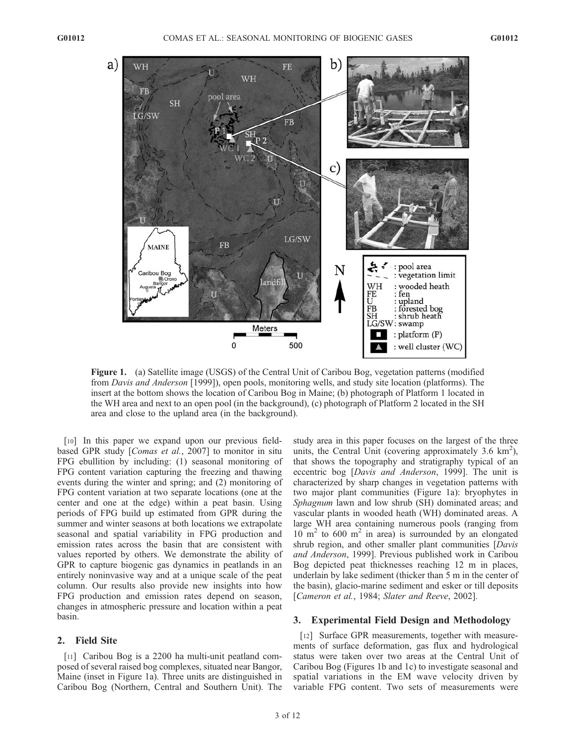

Figure 1. (a) Satellite image (USGS) of the Central Unit of Caribou Bog, vegetation patterns (modified from Davis and Anderson [1999]), open pools, monitoring wells, and study site location (platforms). The insert at the bottom shows the location of Caribou Bog in Maine; (b) photograph of Platform 1 located in the WH area and next to an open pool (in the background), (c) photograph of Platform 2 located in the SH area and close to the upland area (in the background).

[10] In this paper we expand upon our previous fieldbased GPR study [*Comas et al.*, 2007] to monitor in situ FPG ebullition by including: (1) seasonal monitoring of FPG content variation capturing the freezing and thawing events during the winter and spring; and (2) monitoring of FPG content variation at two separate locations (one at the center and one at the edge) within a peat basin. Using periods of FPG build up estimated from GPR during the summer and winter seasons at both locations we extrapolate seasonal and spatial variability in FPG production and emission rates across the basin that are consistent with values reported by others. We demonstrate the ability of GPR to capture biogenic gas dynamics in peatlands in an entirely noninvasive way and at a unique scale of the peat column. Our results also provide new insights into how FPG production and emission rates depend on season, changes in atmospheric pressure and location within a peat basin.

# 2. Field Site

[11] Caribou Bog is a 2200 ha multi-unit peatland composed of several raised bog complexes, situated near Bangor, Maine (inset in Figure 1a). Three units are distinguished in Caribou Bog (Northern, Central and Southern Unit). The study area in this paper focuses on the largest of the three units, the Central Unit (covering approximately  $3.6 \text{ km}^2$ ), that shows the topography and stratigraphy typical of an eccentric bog [Davis and Anderson, 1999]. The unit is characterized by sharp changes in vegetation patterns with two major plant communities (Figure 1a): bryophytes in Sphagnum lawn and low shrub (SH) dominated areas; and vascular plants in wooded heath (WH) dominated areas. A large WH area containing numerous pools (ranging from  $10 \text{ m}^2$  to 600 m<sup>2</sup> in area) is surrounded by an elongated shrub region, and other smaller plant communities [Davis and Anderson, 1999]. Previous published work in Caribou Bog depicted peat thicknesses reaching 12 m in places, underlain by lake sediment (thicker than 5 m in the center of the basin), glacio-marine sediment and esker or till deposits [Cameron et al., 1984; Slater and Reeve, 2002].

### 3. Experimental Field Design and Methodology

[12] Surface GPR measurements, together with measurements of surface deformation, gas flux and hydrological status were taken over two areas at the Central Unit of Caribou Bog (Figures 1b and 1c) to investigate seasonal and spatial variations in the EM wave velocity driven by variable FPG content. Two sets of measurements were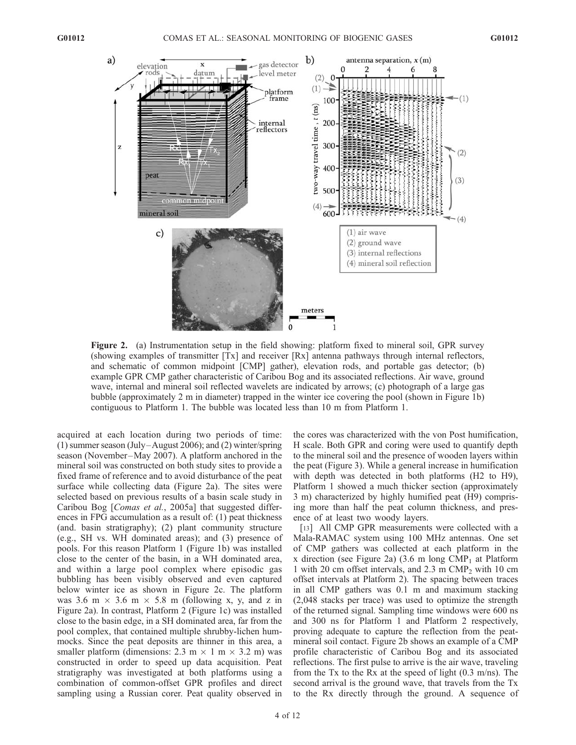

Figure 2. (a) Instrumentation setup in the field showing: platform fixed to mineral soil, GPR survey (showing examples of transmitter [Tx] and receiver [Rx] antenna pathways through internal reflectors, and schematic of common midpoint [CMP] gather), elevation rods, and portable gas detector; (b) example GPR CMP gather characteristic of Caribou Bog and its associated reflections. Air wave, ground wave, internal and mineral soil reflected wavelets are indicated by arrows; (c) photograph of a large gas bubble (approximately 2 m in diameter) trapped in the winter ice covering the pool (shown in Figure 1b) contiguous to Platform 1. The bubble was located less than 10 m from Platform 1.

acquired at each location during two periods of time: (1) summer season (July–August 2006); and (2) winter/spring season (November-May 2007). A platform anchored in the mineral soil was constructed on both study sites to provide a fixed frame of reference and to avoid disturbance of the peat surface while collecting data (Figure 2a). The sites were selected based on previous results of a basin scale study in Caribou Bog [Comas et al., 2005a] that suggested differences in FPG accumulation as a result of: (1) peat thickness (and. basin stratigraphy); (2) plant community structure (e.g., SH vs. WH dominated areas); and (3) presence of pools. For this reason Platform 1 (Figure 1b) was installed close to the center of the basin, in a WH dominated area, and within a large pool complex where episodic gas bubbling has been visibly observed and even captured below winter ice as shown in Figure 2c. The platform was 3.6 m  $\times$  3.6 m  $\times$  5.8 m (following x, y, and z in Figure 2a). In contrast, Platform 2 (Figure 1c) was installed close to the basin edge, in a SH dominated area, far from the pool complex, that contained multiple shrubby-lichen hummocks. Since the peat deposits are thinner in this area, a smaller platform (dimensions: 2.3 m  $\times$  1 m  $\times$  3.2 m) was constructed in order to speed up data acquisition. Peat stratigraphy was investigated at both platforms using a combination of common-offset GPR profiles and direct sampling using a Russian corer. Peat quality observed in

the cores was characterized with the von Post humification, H scale. Both GPR and coring were used to quantify depth to the mineral soil and the presence of wooden layers within the peat (Figure 3). While a general increase in humification with depth was detected in both platforms (H2 to H9), Platform 1 showed a much thicker section (approximately 3 m) characterized by highly humified peat (H9) comprising more than half the peat column thickness, and presence of at least two woody layers.

[13] All CMP GPR measurements were collected with a Mala-RAMAC system using 100 MHz antennas. One set of CMP gathers was collected at each platform in the x direction (see Figure 2a)  $(3.6 \text{ m long } \text{CMP}_1 \text{ at } \text{Platform})$ 1 with 20 cm offset intervals, and  $2.3 \text{ m } \text{CMP}_2$  with 10 cm offset intervals at Platform 2). The spacing between traces in all CMP gathers was 0.1 m and maximum stacking (2,048 stacks per trace) was used to optimize the strength of the returned signal. Sampling time windows were 600 ns and 300 ns for Platform 1 and Platform 2 respectively, proving adequate to capture the reflection from the peatmineral soil contact. Figure 2b shows an example of a CMP profile characteristic of Caribou Bog and its associated reflections. The first pulse to arrive is the air wave, traveling from the Tx to the Rx at the speed of light (0.3 m/ns). The second arrival is the ground wave, that travels from the Tx to the Rx directly through the ground. A sequence of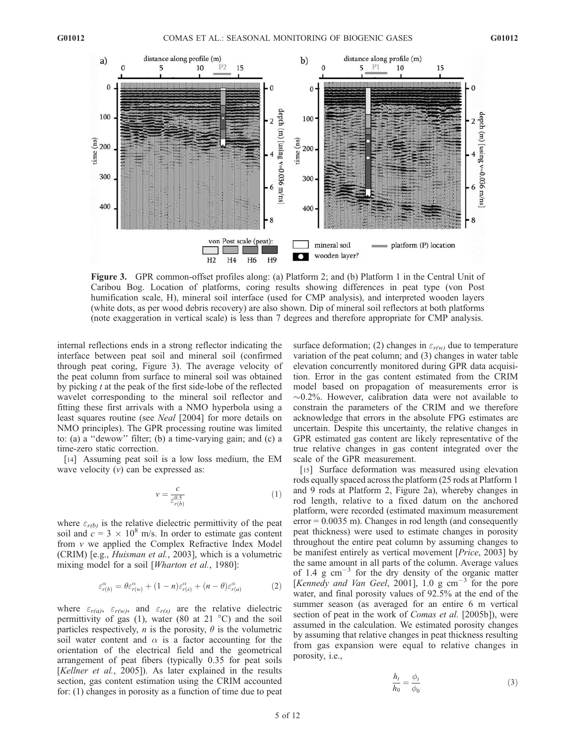

Figure 3. GPR common-offset profiles along: (a) Platform 2; and (b) Platform 1 in the Central Unit of Caribou Bog. Location of platforms, coring results showing differences in peat type (von Post humification scale, H), mineral soil interface (used for CMP analysis), and interpreted wooden layers (white dots, as per wood debris recovery) are also shown. Dip of mineral soil reflectors at both platforms (note exaggeration in vertical scale) is less than 7 degrees and therefore appropriate for CMP analysis.

internal reflections ends in a strong reflector indicating the interface between peat soil and mineral soil (confirmed through peat coring, Figure 3). The average velocity of the peat column from surface to mineral soil was obtained by picking  $t$  at the peak of the first side-lobe of the reflected wavelet corresponding to the mineral soil reflector and fitting these first arrivals with a NMO hyperbola using a least squares routine (see Neal [2004] for more details on NMO principles). The GPR processing routine was limited to: (a) a ''dewow'' filter; (b) a time-varying gain; and (c) a time-zero static correction.

[14] Assuming peat soil is a low loss medium, the EM wave velocity  $(v)$  can be expressed as:

$$
v = \frac{c}{\varepsilon_{r(b)}^{0.5}}\tag{1}
$$

where  $\varepsilon_{r(b)}$  is the relative dielectric permittivity of the peat soil and  $c = 3 \times 10^8$  m/s. In order to estimate gas content from  $v$  we applied the Complex Refractive Index Model (CRIM) [e.g., Huisman et al., 2003], which is a volumetric mixing model for a soil [*Wharton et al.*, 1980]:

$$
\varepsilon_{r(b)}^{\alpha} = \theta \varepsilon_{r(w)}^{\alpha} + (1 - n) \varepsilon_{r(s)}^{\alpha} + (n - \theta) \varepsilon_{r(a)}^{\alpha} \tag{2}
$$

where  $\varepsilon_{r(a)}, \varepsilon_{r(w)}$ , and  $\varepsilon_{r(s)}$  are the relative dielectric permittivity of gas (1), water (80 at 21  $^{\circ}$ C) and the soil particles respectively, *n* is the porosity,  $\theta$  is the volumetric soil water content and  $\alpha$  is a factor accounting for the orientation of the electrical field and the geometrical arrangement of peat fibers (typically 0.35 for peat soils [Kellner et al., 2005]). As later explained in the results section, gas content estimation using the CRIM accounted for: (1) changes in porosity as a function of time due to peat surface deformation; (2) changes in  $\varepsilon_{r(w)}$  due to temperature variation of the peat column; and (3) changes in water table elevation concurrently monitored during GPR data acquisition. Error in the gas content estimated from the CRIM model based on propagation of measurements error is  $\sim$ 0.2%. However, calibration data were not available to constrain the parameters of the CRIM and we therefore acknowledge that errors in the absolute FPG estimates are uncertain. Despite this uncertainty, the relative changes in GPR estimated gas content are likely representative of the true relative changes in gas content integrated over the scale of the GPR measurement.

[15] Surface deformation was measured using elevation rods equally spaced across the platform (25 rods at Platform 1 and 9 rods at Platform 2, Figure 2a), whereby changes in rod length, relative to a fixed datum on the anchored platform, were recorded (estimated maximum measurement  $error = 0.0035$  m). Changes in rod length (and consequently peat thickness) were used to estimate changes in porosity throughout the entire peat column by assuming changes to be manifest entirely as vertical movement [Price, 2003] by the same amount in all parts of the column. Average values of 1.4 g  $cm^{-3}$  for the dry density of the organic matter [Kennedy and Van Geel, 2001], 1.0 g  $cm^{-3}$  for the pore water, and final porosity values of 92.5% at the end of the summer season (as averaged for an entire 6 m vertical section of peat in the work of *Comas et al.* [2005b]), were assumed in the calculation. We estimated porosity changes by assuming that relative changes in peat thickness resulting from gas expansion were equal to relative changes in porosity, i.e.,

$$
\frac{h_t}{h_0} = \frac{\phi_t}{\phi_0} \tag{3}
$$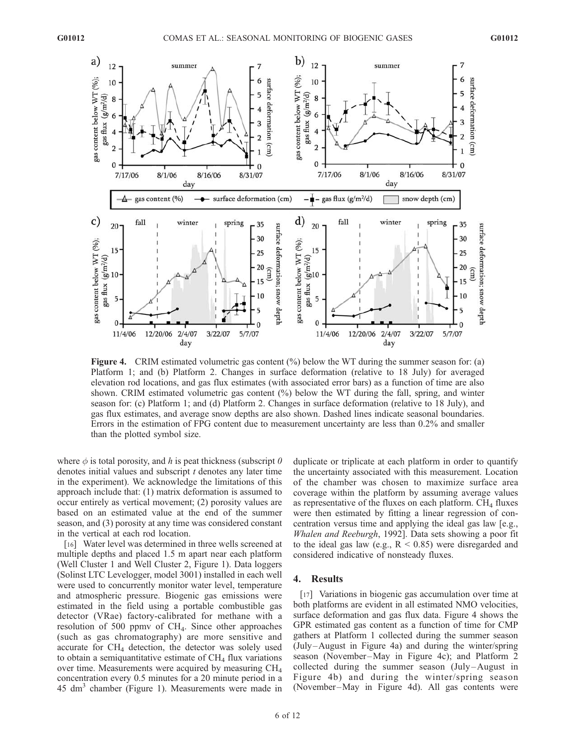

**Figure 4.** CRIM estimated volumetric gas content  $\frac{9}{6}$  below the WT during the summer season for: (a) Platform 1; and (b) Platform 2. Changes in surface deformation (relative to 18 July) for averaged elevation rod locations, and gas flux estimates (with associated error bars) as a function of time are also shown. CRIM estimated volumetric gas content (%) below the WT during the fall, spring, and winter season for: (c) Platform 1; and (d) Platform 2. Changes in surface deformation (relative to 18 July), and gas flux estimates, and average snow depths are also shown. Dashed lines indicate seasonal boundaries. Errors in the estimation of FPG content due to measurement uncertainty are less than 0.2% and smaller than the plotted symbol size.

where  $\phi$  is total porosity, and h is peat thickness (subscript 0 denotes initial values and subscript  $t$  denotes any later time in the experiment). We acknowledge the limitations of this approach include that: (1) matrix deformation is assumed to occur entirely as vertical movement; (2) porosity values are based on an estimated value at the end of the summer season, and (3) porosity at any time was considered constant in the vertical at each rod location.

[16] Water level was determined in three wells screened at multiple depths and placed 1.5 m apart near each platform (Well Cluster 1 and Well Cluster 2, Figure 1). Data loggers (Solinst LTC Levelogger, model 3001) installed in each well were used to concurrently monitor water level, temperature and atmospheric pressure. Biogenic gas emissions were estimated in the field using a portable combustible gas detector (VRae) factory-calibrated for methane with a resolution of 500 ppmv of CH4. Since other approaches (such as gas chromatography) are more sensitive and accurate for CH4 detection, the detector was solely used to obtain a semiquantitative estimate of  $CH<sub>4</sub>$  flux variations over time. Measurements were acquired by measuring CH<sub>4</sub> concentration every 0.5 minutes for a 20 minute period in a  $45 \text{ dm}^3$  chamber (Figure 1). Measurements were made in duplicate or triplicate at each platform in order to quantify the uncertainty associated with this measurement. Location of the chamber was chosen to maximize surface area coverage within the platform by assuming average values as representative of the fluxes on each platform.  $CH<sub>4</sub>$  fluxes were then estimated by fitting a linear regression of concentration versus time and applying the ideal gas law [e.g., Whalen and Reeburgh, 1992]. Data sets showing a poor fit to the ideal gas law (e.g.,  $R < 0.85$ ) were disregarded and considered indicative of nonsteady fluxes.

## 4. Results

[17] Variations in biogenic gas accumulation over time at both platforms are evident in all estimated NMO velocities, surface deformation and gas flux data. Figure 4 shows the GPR estimated gas content as a function of time for CMP gathers at Platform 1 collected during the summer season (July –August in Figure 4a) and during the winter/spring season (November-May in Figure 4c); and Platform 2 collected during the summer season (July-August in Figure 4b) and during the winter/spring season (November –May in Figure 4d). All gas contents were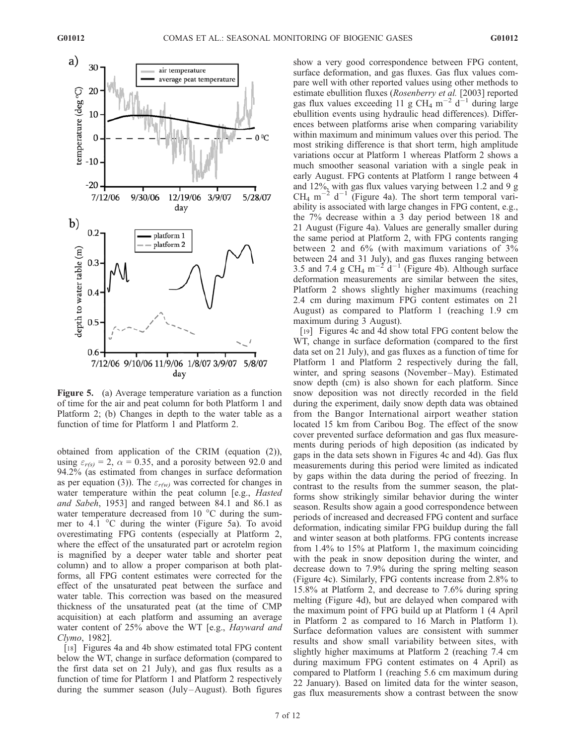

Figure 5. (a) Average temperature variation as a function of time for the air and peat column for both Platform 1 and Platform 2; (b) Changes in depth to the water table as a function of time for Platform 1 and Platform 2.

obtained from application of the CRIM (equation (2)), using  $\varepsilon_{r(s)} = 2$ ,  $\alpha = 0.35$ , and a porosity between 92.0 and 94.2% (as estimated from changes in surface deformation as per equation (3)). The  $\varepsilon_{r(w)}$  was corrected for changes in water temperature within the peat column [e.g., *Hasted* and Sabeh, 1953] and ranged between 84.1 and 86.1 as water temperature decreased from 10  $^{\circ}$ C during the summer to 4.1  $\degree$ C during the winter (Figure 5a). To avoid overestimating FPG contents (especially at Platform 2, where the effect of the unsaturated part or acrotelm region is magnified by a deeper water table and shorter peat column) and to allow a proper comparison at both platforms, all FPG content estimates were corrected for the effect of the unsaturated peat between the surface and water table. This correction was based on the measured thickness of the unsaturated peat (at the time of CMP acquisition) at each platform and assuming an average water content of 25% above the WT [e.g., *Hayward and* Clymo, 1982].

[18] Figures 4a and 4b show estimated total FPG content below the WT, change in surface deformation (compared to the first data set on 21 July), and gas flux results as a function of time for Platform 1 and Platform 2 respectively during the summer season (July –August). Both figures

show a very good correspondence between FPG content, surface deformation, and gas fluxes. Gas flux values compare well with other reported values using other methods to estimate ebullition fluxes (Rosenberry et al. [2003] reported gas flux values exceeding 11 g CH<sub>4</sub> m<sup>-2</sup> d<sup>-1</sup> during large ebullition events using hydraulic head differences). Differences between platforms arise when comparing variability within maximum and minimum values over this period. The most striking difference is that short term, high amplitude variations occur at Platform 1 whereas Platform 2 shows a much smoother seasonal variation with a single peak in early August. FPG contents at Platform 1 range between 4 and 12%, with gas flux values varying between 1.2 and 9 g CH<sub>4</sub> m<sup>-2</sup> d<sup>-1</sup> (Figure 4a). The short term temporal variability is associated with large changes in FPG content, e.g., the 7% decrease within a 3 day period between 18 and 21 August (Figure 4a). Values are generally smaller during the same period at Platform 2, with FPG contents ranging between 2 and 6% (with maximum variations of 3% between 24 and 31 July), and gas fluxes ranging between 3.5 and 7.4 g CH<sub>4</sub> m<sup>-2</sup> d<sup>-1</sup> (Figure 4b). Although surface deformation measurements are similar between the sites, Platform 2 shows slightly higher maximums (reaching 2.4 cm during maximum FPG content estimates on 21 August) as compared to Platform 1 (reaching 1.9 cm maximum during 3 August).

[19] Figures 4c and 4d show total FPG content below the WT, change in surface deformation (compared to the first data set on 21 July), and gas fluxes as a function of time for Platform 1 and Platform 2 respectively during the fall, winter, and spring seasons (November-May). Estimated snow depth (cm) is also shown for each platform. Since snow deposition was not directly recorded in the field during the experiment, daily snow depth data was obtained from the Bangor International airport weather station located 15 km from Caribou Bog. The effect of the snow cover prevented surface deformation and gas flux measurements during periods of high deposition (as indicated by gaps in the data sets shown in Figures 4c and 4d). Gas flux measurements during this period were limited as indicated by gaps within the data during the period of freezing. In contrast to the results from the summer season, the platforms show strikingly similar behavior during the winter season. Results show again a good correspondence between periods of increased and decreased FPG content and surface deformation, indicating similar FPG buildup during the fall and winter season at both platforms. FPG contents increase from 1.4% to 15% at Platform 1, the maximum coinciding with the peak in snow deposition during the winter, and decrease down to 7.9% during the spring melting season (Figure 4c). Similarly, FPG contents increase from 2.8% to 15.8% at Platform 2, and decrease to 7.6% during spring melting (Figure 4d), but are delayed when compared with the maximum point of FPG build up at Platform 1 (4 April in Platform 2 as compared to 16 March in Platform 1). Surface deformation values are consistent with summer results and show small variability between sites, with slightly higher maximums at Platform 2 (reaching 7.4 cm during maximum FPG content estimates on 4 April) as compared to Platform 1 (reaching 5.6 cm maximum during 22 January). Based on limited data for the winter season, gas flux measurements show a contrast between the snow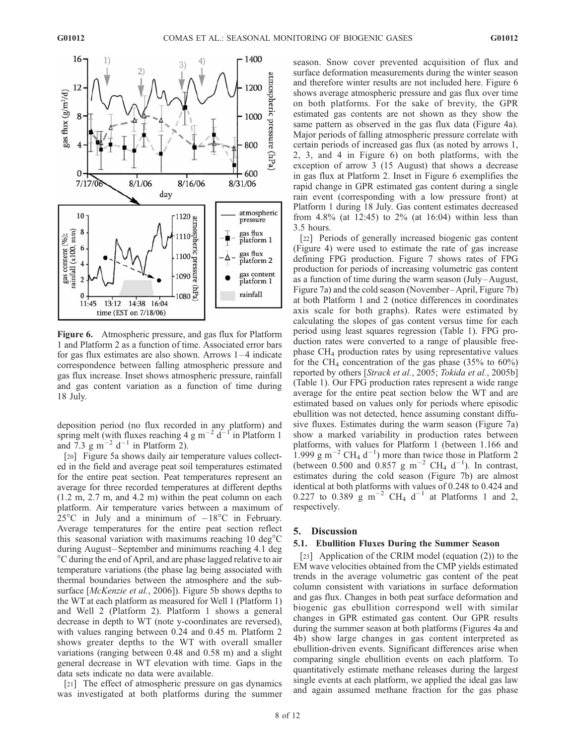

Figure 6. Atmospheric pressure, and gas flux for Platform 1 and Platform 2 as a function of time. Associated error bars for gas flux estimates are also shown. Arrows  $1-4$  indicate correspondence between falling atmospheric pressure and gas flux increase. Inset shows atmospheric pressure, rainfall and gas content variation as a function of time during 18 July.

deposition period (no flux recorded in any platform) and spring melt (with fluxes reaching 4 g m<sup>-2</sup> d<sup>-1</sup> in Platform 1 and 7.3 g m<sup>-2</sup> d<sup>-1</sup> in Platform 2).

[20] Figure 5a shows daily air temperature values collected in the field and average peat soil temperatures estimated for the entire peat section. Peat temperatures represent an average for three recorded temperatures at different depths (1.2 m, 2.7 m, and 4.2 m) within the peat column on each platform. Air temperature varies between a maximum of  $25^{\circ}$ C in July and a minimum of  $-18^{\circ}$ C in February. Average temperatures for the entire peat section reflect this seasonal variation with maximums reaching  $10 \text{ deg}^{\circ}\text{C}$ during August-September and minimums reaching 4.1 deg C during the end of April, and are phase lagged relative to air temperature variations (the phase lag being associated with thermal boundaries between the atmosphere and the subsurface [McKenzie et al., 2006]). Figure 5b shows depths to the WT at each platform as measured for Well 1 (Platform 1) and Well 2 (Platform 2). Platform 1 shows a general decrease in depth to WT (note y-coordinates are reversed), with values ranging between 0.24 and 0.45 m. Platform 2 shows greater depths to the WT with overall smaller variations (ranging between 0.48 and 0.58 m) and a slight general decrease in WT elevation with time. Gaps in the data sets indicate no data were available.

[21] The effect of atmospheric pressure on gas dynamics was investigated at both platforms during the summer season. Snow cover prevented acquisition of flux and surface deformation measurements during the winter season and therefore winter results are not included here. Figure 6 shows average atmospheric pressure and gas flux over time on both platforms. For the sake of brevity, the GPR estimated gas contents are not shown as they show the same pattern as observed in the gas flux data (Figure 4a). Major periods of falling atmospheric pressure correlate with certain periods of increased gas flux (as noted by arrows 1, 2, 3, and 4 in Figure 6) on both platforms, with the exception of arrow 3 (15 August) that shows a decrease in gas flux at Platform 2. Inset in Figure 6 exemplifies the rapid change in GPR estimated gas content during a single rain event (corresponding with a low pressure front) at Platform 1 during 18 July. Gas content estimates decreased from 4.8% (at 12:45) to 2% (at 16:04) within less than 3.5 hours.

[22] Periods of generally increased biogenic gas content (Figure 4) were used to estimate the rate of gas increase defining FPG production. Figure 7 shows rates of FPG production for periods of increasing volumetric gas content as a function of time during the warm season (July –August, Figure 7a) and the cold season (November–April, Figure 7b) at both Platform 1 and 2 (notice differences in coordinates axis scale for both graphs). Rates were estimated by calculating the slopes of gas content versus time for each period using least squares regression (Table 1). FPG production rates were converted to a range of plausible freephase CH4 production rates by using representative values for the CH<sub>4</sub> concentration of the gas phase  $(35\%$  to 60%) reported by others [Strack et al., 2005; Tokida et al., 2005b] (Table 1). Our FPG production rates represent a wide range average for the entire peat section below the WT and are estimated based on values only for periods where episodic ebullition was not detected, hence assuming constant diffusive fluxes. Estimates during the warm season (Figure 7a) show a marked variability in production rates between platforms, with values for Platform 1 (between 1.166 and 1.999 g m<sup>-2</sup> CH<sub>4</sub> d<sup>-1</sup>) more than twice those in Platform 2 (between 0.500 and 0.857 g m<sup>-2</sup> CH<sub>4</sub> d<sup>-1</sup>). In contrast, estimates during the cold season (Figure 7b) are almost identical at both platforms with values of 0.248 to 0.424 and 0.227 to 0.389 g m<sup>-2</sup> CH<sub>4</sub> d<sup>-1</sup> at Platforms 1 and 2, respectively.

#### 5. Discussion

#### 5.1. Ebullition Fluxes During the Summer Season

[23] Application of the CRIM model (equation (2)) to the EM wave velocities obtained from the CMP yields estimated trends in the average volumetric gas content of the peat column consistent with variations in surface deformation and gas flux. Changes in both peat surface deformation and biogenic gas ebullition correspond well with similar changes in GPR estimated gas content. Our GPR results during the summer season at both platforms (Figures 4a and 4b) show large changes in gas content interpreted as ebullition-driven events. Significant differences arise when comparing single ebullition events on each platform. To quantitatively estimate methane releases during the largest single events at each platform, we applied the ideal gas law and again assumed methane fraction for the gas phase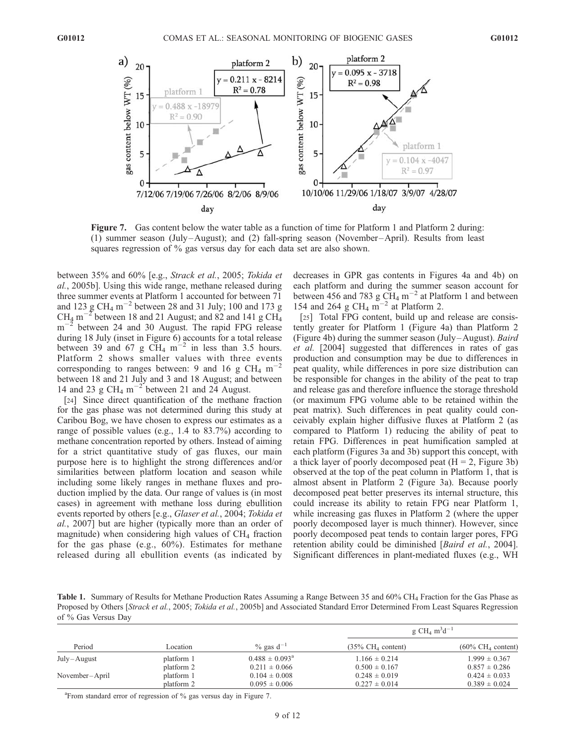

Figure 7. Gas content below the water table as a function of time for Platform 1 and Platform 2 during: (1) summer season (July –August); and (2) fall-spring season (November –April). Results from least squares regression of % gas versus day for each data set are also shown.

between 35% and 60% [e.g., Strack et al., 2005; Tokida et al., 2005b]. Using this wide range, methane released during three summer events at Platform 1 accounted for between 71 and 123 g CH<sub>4</sub> m<sup>-2</sup> between 28 and 31 July; 100 and 173 g  $CH_4$  m<sup>-2</sup> between 18 and 21 August; and 82 and 141 g CH<sub>4</sub> m<sup>-2</sup> between 24 and 30 August. The rapid FPG release between 24 and 30 August. The rapid FPG release during 18 July (inset in Figure 6) accounts for a total release between 39 and 67 g CH<sub>4</sub> m<sup>-2</sup> in less than 3.5 hours. Platform 2 shows smaller values with three events corresponding to ranges between: 9 and 16 g CH<sub>4</sub> m<sup>-2</sup> between 18 and 21 July and 3 and 18 August; and between 14 and 23 g CH<sub>4</sub> m<sup>-2</sup> between 21 and 24 August.

[24] Since direct quantification of the methane fraction for the gas phase was not determined during this study at Caribou Bog, we have chosen to express our estimates as a range of possible values (e.g., 1.4 to 83.7%) according to methane concentration reported by others. Instead of aiming for a strict quantitative study of gas fluxes, our main purpose here is to highlight the strong differences and/or similarities between platform location and season while including some likely ranges in methane fluxes and production implied by the data. Our range of values is (in most cases) in agreement with methane loss during ebullition events reported by others [e.g., *Glaser et al.*, 2004; *Tokida et* al., 2007] but are higher (typically more than an order of magnitude) when considering high values of  $CH<sub>4</sub>$  fraction for the gas phase (e.g., 60%). Estimates for methane released during all ebullition events (as indicated by

decreases in GPR gas contents in Figures 4a and 4b) on each platform and during the summer season account for between 456 and 783 g  $\text{CH}_4 \text{ m}^{-2}$  at Platform 1 and between 154 and 264 g CH<sub>4</sub> m<sup>-2</sup> at Platform 2.

[25] Total FPG content, build up and release are consistently greater for Platform 1 (Figure 4a) than Platform 2 (Figure 4b) during the summer season (July –August). Baird et al. [2004] suggested that differences in rates of gas production and consumption may be due to differences in peat quality, while differences in pore size distribution can be responsible for changes in the ability of the peat to trap and release gas and therefore influence the storage threshold (or maximum FPG volume able to be retained within the peat matrix). Such differences in peat quality could conceivably explain higher diffusive fluxes at Platform 2 (as compared to Platform 1) reducing the ability of peat to retain FPG. Differences in peat humification sampled at each platform (Figures 3a and 3b) support this concept, with a thick layer of poorly decomposed peat  $(H = 2, Figure 3b)$ observed at the top of the peat column in Platform 1, that is almost absent in Platform 2 (Figure 3a). Because poorly decomposed peat better preserves its internal structure, this could increase its ability to retain FPG near Platform 1, while increasing gas fluxes in Platform 2 (where the upper poorly decomposed layer is much thinner). However, since poorly decomposed peat tends to contain larger pores, FPG retention ability could be diminished [Baird et al., 2004]. Significant differences in plant-mediated fluxes (e.g., WH

Table 1. Summary of Results for Methane Production Rates Assuming a Range Between 35 and 60% CH4 Fraction for the Gas Phase as Proposed by Others [Strack et al., 2005; Tokida et al., 2005b] and Associated Standard Error Determined From Least Squares Regression of % Gas Versus Day

| Period         | Location   | % gas $d^{-1}$               | g CH <sub>4</sub> m <sup>3</sup> d <sup>-1</sup> |                                       |
|----------------|------------|------------------------------|--------------------------------------------------|---------------------------------------|
|                |            |                              | $(35\% \text{ CH}_4 \text{ content})$            | $(60\% \text{ CH}_4 \text{ content})$ |
| $July-August$  | platform 1 | $0.488 \pm 0.093^{\text{a}}$ | $1.166 \pm 0.214$                                | $1.999 \pm 0.367$                     |
|                | platform 2 | $0.211 \pm 0.066$            | $0.500 \pm 0.167$                                | $0.857 \pm 0.286$                     |
| November-April | platform 1 | $0.104 \pm 0.008$            | $0.248 \pm 0.019$                                | $0.424 \pm 0.033$                     |
|                | platform 2 | $0.095 \pm 0.006$            | $0.227 \pm 0.014$                                | $0.389 \pm 0.024$                     |

<sup>a</sup> From standard error of regression of % gas versus day in Figure 7.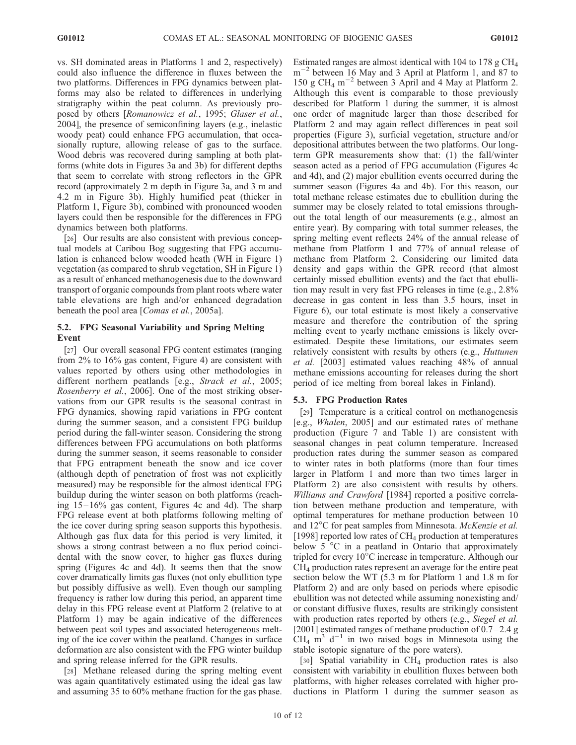vs. SH dominated areas in Platforms 1 and 2, respectively) could also influence the difference in fluxes between the two platforms. Differences in FPG dynamics between platforms may also be related to differences in underlying stratigraphy within the peat column. As previously proposed by others [Romanowicz et al., 1995; Glaser et al., 2004], the presence of semiconfining layers (e.g., inelastic woody peat) could enhance FPG accumulation, that occasionally rupture, allowing release of gas to the surface. Wood debris was recovered during sampling at both platforms (white dots in Figures 3a and 3b) for different depths that seem to correlate with strong reflectors in the GPR record (approximately 2 m depth in Figure 3a, and 3 m and 4.2 m in Figure 3b). Highly humified peat (thicker in Platform 1, Figure 3b), combined with pronounced wooden layers could then be responsible for the differences in FPG dynamics between both platforms.

[26] Our results are also consistent with previous conceptual models at Caribou Bog suggesting that FPG accumulation is enhanced below wooded heath (WH in Figure 1) vegetation (as compared to shrub vegetation, SH in Figure 1) as a result of enhanced methanogenesis due to the downward transport of organic compounds from plant roots where water table elevations are high and/or enhanced degradation beneath the pool area [Comas et al., 2005a].

# 5.2. FPG Seasonal Variability and Spring Melting Event

[27] Our overall seasonal FPG content estimates (ranging from 2% to 16% gas content, Figure 4) are consistent with values reported by others using other methodologies in different northern peatlands [e.g., Strack et al., 2005; Rosenberry et al., 2006]. One of the most striking observations from our GPR results is the seasonal contrast in FPG dynamics, showing rapid variations in FPG content during the summer season, and a consistent FPG buildup period during the fall-winter season. Considering the strong differences between FPG accumulations on both platforms during the summer season, it seems reasonable to consider that FPG entrapment beneath the snow and ice cover (although depth of penetration of frost was not explicitly measured) may be responsible for the almost identical FPG buildup during the winter season on both platforms (reaching  $15-16\%$  gas content, Figures 4c and 4d). The sharp FPG release event at both platforms following melting of the ice cover during spring season supports this hypothesis. Although gas flux data for this period is very limited, it shows a strong contrast between a no flux period coincidental with the snow cover, to higher gas fluxes during spring (Figures 4c and 4d). It seems then that the snow cover dramatically limits gas fluxes (not only ebullition type but possibly diffusive as well). Even though our sampling frequency is rather low during this period, an apparent time delay in this FPG release event at Platform 2 (relative to at Platform 1) may be again indicative of the differences between peat soil types and associated heterogeneous melting of the ice cover within the peatland. Changes in surface deformation are also consistent with the FPG winter buildup and spring release inferred for the GPR results.

[28] Methane released during the spring melting event was again quantitatively estimated using the ideal gas law and assuming 35 to 60% methane fraction for the gas phase. Estimated ranges are almost identical with 104 to 178 g  $CH<sub>4</sub>$  $m^{-2}$  between 16 May and 3 April at Platform 1, and 87 to 150 g CH<sub>4</sub> m<sup>-2</sup> between 3 April and 4 May at Platform 2. Although this event is comparable to those previously described for Platform 1 during the summer, it is almost one order of magnitude larger than those described for Platform 2 and may again reflect differences in peat soil properties (Figure 3), surficial vegetation, structure and/or depositional attributes between the two platforms. Our longterm GPR measurements show that: (1) the fall/winter season acted as a period of FPG accumulation (Figures 4c and 4d), and (2) major ebullition events occurred during the summer season (Figures 4a and 4b). For this reason, our total methane release estimates due to ebullition during the summer may be closely related to total emissions throughout the total length of our measurements (e.g., almost an entire year). By comparing with total summer releases, the spring melting event reflects 24% of the annual release of methane from Platform 1 and 77% of annual release of methane from Platform 2. Considering our limited data density and gaps within the GPR record (that almost certainly missed ebullition events) and the fact that ebullition may result in very fast FPG releases in time (e.g., 2.8% decrease in gas content in less than 3.5 hours, inset in Figure 6), our total estimate is most likely a conservative measure and therefore the contribution of the spring melting event to yearly methane emissions is likely overestimated. Despite these limitations, our estimates seem relatively consistent with results by others (e.g., Huttunen et al. [2003] estimated values reaching 48% of annual methane emissions accounting for releases during the short period of ice melting from boreal lakes in Finland).

# 5.3. FPG Production Rates

[29] Temperature is a critical control on methanogenesis [e.g., Whalen, 2005] and our estimated rates of methane production (Figure 7 and Table 1) are consistent with seasonal changes in peat column temperature. Increased production rates during the summer season as compared to winter rates in both platforms (more than four times larger in Platform 1 and more than two times larger in Platform 2) are also consistent with results by others. Williams and Crawford [1984] reported a positive correlation between methane production and temperature, with optimal temperatures for methane production between 10 and  $12^{\circ}$ C for peat samples from Minnesota. *McKenzie et al.* [1998] reported low rates of  $CH_4$  production at temperatures below  $5^{\circ}$ C in a peatland in Ontario that approximately tripled for every  $10^{\circ}$ C increase in temperature. Although our CH4 production rates represent an average for the entire peat section below the WT (5.3 m for Platform 1 and 1.8 m for Platform 2) and are only based on periods where episodic ebullition was not detected while assuming nonexisting and/ or constant diffusive fluxes, results are strikingly consistent with production rates reported by others (e.g., Siegel et al. [2001] estimated ranges of methane production of  $0.7-2.4$  g  $CH<sub>4</sub>$  m<sup>3</sup> d<sup>-1</sup> in two raised bogs in Minnesota using the stable isotopic signature of the pore waters).

[30] Spatial variability in  $CH_4$  production rates is also consistent with variability in ebullition fluxes between both platforms, with higher releases correlated with higher productions in Platform 1 during the summer season as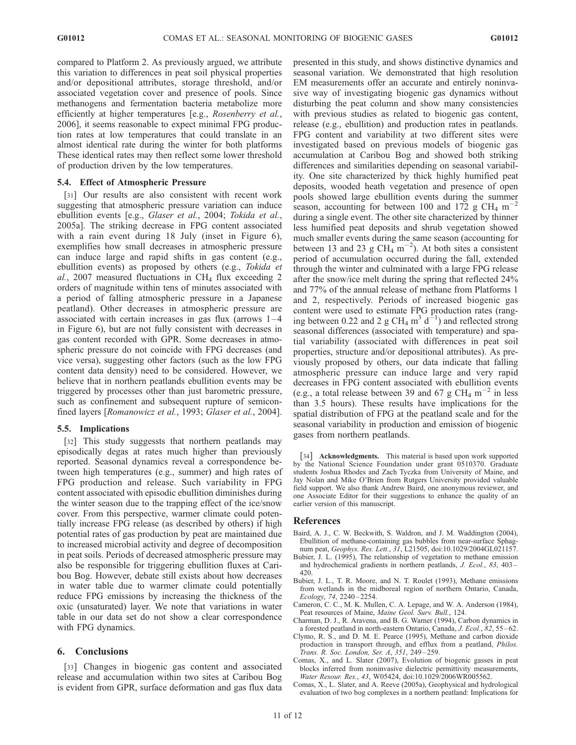compared to Platform 2. As previously argued, we attribute this variation to differences in peat soil physical properties and/or depositional attributes, storage threshold, and/or associated vegetation cover and presence of pools. Since methanogens and fermentation bacteria metabolize more efficiently at higher temperatures [e.g., Rosenberry et al., 2006], it seems reasonable to expect minimal FPG production rates at low temperatures that could translate in an almost identical rate during the winter for both platforms These identical rates may then reflect some lower threshold of production driven by the low temperatures.

#### 5.4. Effect of Atmospheric Pressure

[31] Our results are also consistent with recent work suggesting that atmospheric pressure variation can induce ebullition events [e.g., Glaser et al., 2004; Tokida et al., 2005a]. The striking decrease in FPG content associated with a rain event during 18 July (inset in Figure 6), exemplifies how small decreases in atmospheric pressure can induce large and rapid shifts in gas content (e.g., ebullition events) as proposed by others (e.g., Tokida et  $al.$ , 2007 measured fluctuations in CH<sub>4</sub> flux exceeding 2 orders of magnitude within tens of minutes associated with a period of falling atmospheric pressure in a Japanese peatland). Other decreases in atmospheric pressure are associated with certain increases in gas flux (arrows  $1-4$ ) in Figure 6), but are not fully consistent with decreases in gas content recorded with GPR. Some decreases in atmospheric pressure do not coincide with FPG decreases (and vice versa), suggesting other factors (such as the low FPG content data density) need to be considered. However, we believe that in northern peatlands ebullition events may be triggered by processes other than just barometric pressure, such as confinement and subsequent rupture of semiconfined layers [Romanowicz et al., 1993; Glaser et al., 2004].

#### 5.5. Implications

[32] This study suggessts that northern peatlands may episodically degas at rates much higher than previously reported. Seasonal dynamics reveal a correspondence between high temperatures (e.g., summer) and high rates of FPG production and release. Such variability in FPG content associated with episodic ebullition diminishes during the winter season due to the trapping effect of the ice/snow cover. From this perspective, warmer climate could potentially increase FPG release (as described by others) if high potential rates of gas production by peat are maintained due to increased microbial activity and degree of decomposition in peat soils. Periods of decreased atmospheric pressure may also be responsible for triggering ebullition fluxes at Caribou Bog. However, debate still exists about how decreases in water table due to warmer climate could potentially reduce FPG emissions by increasing the thickness of the oxic (unsaturated) layer. We note that variations in water table in our data set do not show a clear correspondence with FPG dynamics.

#### 6. Conclusions

[33] Changes in biogenic gas content and associated release and accumulation within two sites at Caribou Bog is evident from GPR, surface deformation and gas flux data presented in this study, and shows distinctive dynamics and seasonal variation. We demonstrated that high resolution EM measurements offer an accurate and entirely noninvasive way of investigating biogenic gas dynamics without disturbing the peat column and show many consistencies with previous studies as related to biogenic gas content, release (e.g., ebullition) and production rates in peatlands. FPG content and variability at two different sites were investigated based on previous models of biogenic gas accumulation at Caribou Bog and showed both striking differences and similarities depending on seasonal variability. One site characterized by thick highly humified peat deposits, wooded heath vegetation and presence of open pools showed large ebullition events during the summer season, accounting for between 100 and 172 g CH<sub>4</sub> m<sup>-2</sup> during a single event. The other site characterized by thinner less humified peat deposits and shrub vegetation showed much smaller events during the same season (accounting for between 13 and 23 g CH<sub>4</sub> m<sup>-2</sup>). At both sites a consistent period of accumulation occurred during the fall, extended through the winter and culminated with a large FPG release after the snow/ice melt during the spring that reflected 24% and 77% of the annual release of methane from Platforms 1 and 2, respectively. Periods of increased biogenic gas content were used to estimate FPG production rates (ranging between 0.22 and 2 g CH<sub>4</sub> m<sup>3</sup> d<sup>-1</sup>) and reflected strong seasonal differences (associated with temperature) and spatial variability (associated with differences in peat soil properties, structure and/or depositional attributes). As previously proposed by others, our data indicate that falling atmospheric pressure can induce large and very rapid decreases in FPG content associated with ebullition events (e.g., a total release between 39 and 67 g CH<sub>4</sub> m<sup>-2</sup> in less than 3.5 hours). These results have implications for the spatial distribution of FPG at the peatland scale and for the seasonal variability in production and emission of biogenic gases from northern peatlands.

[34] Acknowledgments. This material is based upon work supported by the National Science Foundation under grant 0510370. Graduate students Joshua Rhodes and Zach Tyczka from University of Maine, and Jay Nolan and Mike O'Brien from Rutgers University provided valuable field support. We also thank Andrew Baird, one anonymous reviewer, and one Associate Editor for their suggestions to enhance the quality of an earlier version of this manuscript.

#### References

- Baird, A. J., C. W. Beckwith, S. Waldron, and J. M. Waddington (2004), Ebullition of methane-containing gas bubbles from near-surface Sphagnum peat, Geophys. Res. Lett., 31, L21505, doi:10.1029/2004GL021157.
- Bubier, J. L. (1995), The relationship of vegetation to methane emission and hydrochemical gradients in northern peatlands, J. Ecol., 83, 403 – 420.
- Bubier, J. L., T. R. Moore, and N. T. Roulet (1993), Methane emissions from wetlands in the midboreal region of northern Ontario, Canada, Ecology, 74, 2240 – 2254.
- Cameron, C. C., M. K. Mullen, C. A. Lepage, and W. A. Anderson (1984), Peat resources of Maine, Maine Geol. Surv. Bull., 124.
- Charman, D. J., R. Aravena, and B. G. Warner (1994), Carbon dynamics in a forested peatland in north-eastern Ontario, Canada, J. Ecol., 82, 55 – 62.
- Clymo, R. S., and D. M. E. Pearce (1995), Methane and carbon dioxide production in transport through, and efflux from a peatland, Philos. Trans. R. Soc. London, Ser. A, 351, 249 – 259.
- Comas, X., and L. Slater (2007), Evolution of biogenic gasses in peat blocks inferred from noninvasive dielectric permittivity measurements, Water Resour. Res., 43, W05424, doi:10.1029/2006WR005562.
- Comas, X., L. Slater, and A. Reeve (2005a), Geophysical and hydrological evaluation of two bog complexes in a northern peatland: Implications for